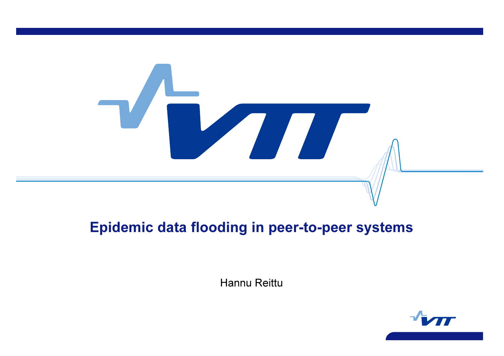

# Epidemic data flooding in peer-to-peer systems

Hannu Reittu

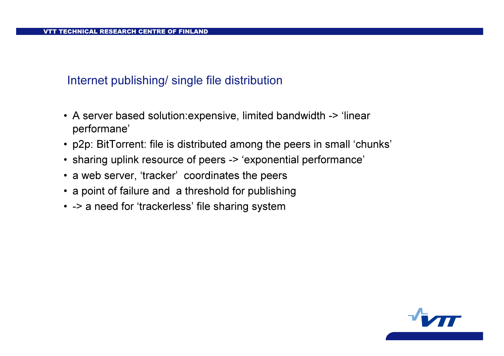### Internet publishing/ single file distribution

- A server based solution:expensive, limited bandwidth -> 'linear performane'
- p2p: BitTorrent: file is distributed among the peers in small 'chunks'
- sharing uplink resource of peers -> 'exponential performance'
- a web server, 'tracker' coordinates the peers
- a point of failure and a threshold for publishing
- -> a need for 'trackerless' file sharing system

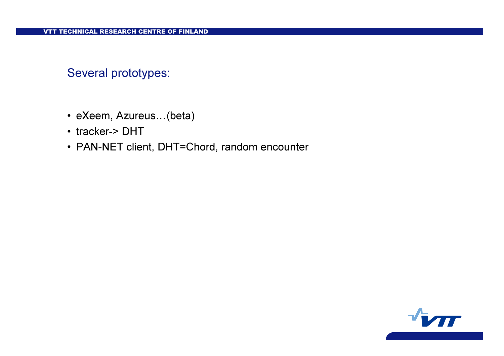### Several prototypes:

- eXeem, Azureus…(beta)
- tracker-> DHT
- PAN-NET client, DHT=Chord, random encounter

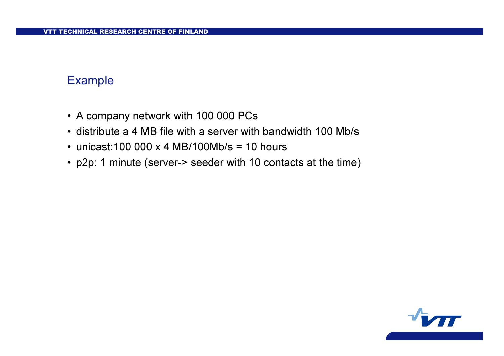#### Example

- A company network with 100 000 PCs
- distribute a 4 MB file with a server with bandwidth 100 Mb/s
- unicast:100 000 x 4 MB/100Mb/s = 10 hours
- p2p: 1 minute (server-> seeder with 10 contacts at the time)

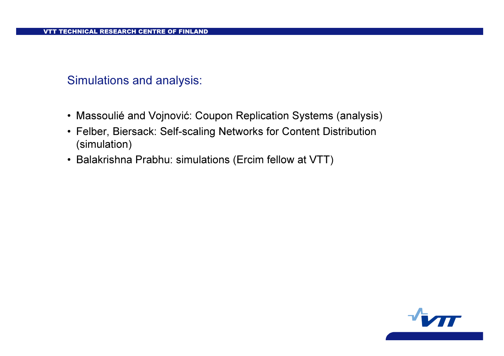#### Simulations and analysis:

- Massoulié and Vojnović: Coupon Replication Systems (analysis)
- Felber, Biersack: Self-scaling Networks for Content Distribution (simulation)
- Balakrishna Prabhu: simulations (Ercim fellow at VTT)

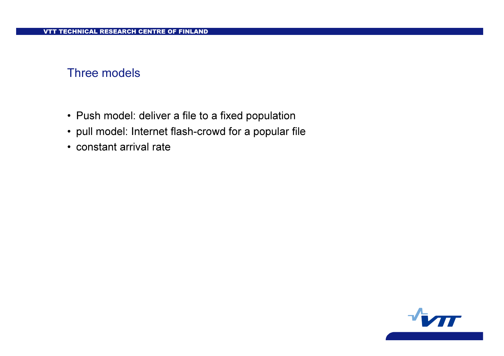#### Three models

- Push model: deliver a file to a fixed population
- pull model: Internet flash-crowd for a popular file
- constant arrival rate

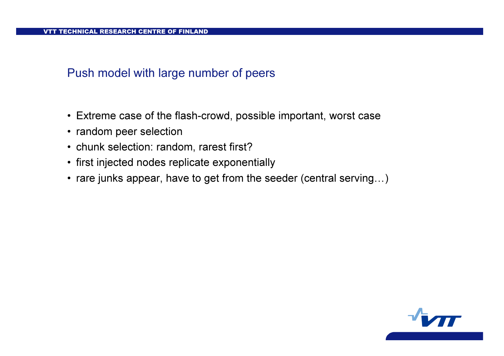#### Push model with large number of peers

- Extreme case of the flash-crowd, possible important, worst case
- random peer selection
- chunk selection: random, rarest first?
- first injected nodes replicate exponentially
- rare junks appear, have to get from the seeder (central serving…)

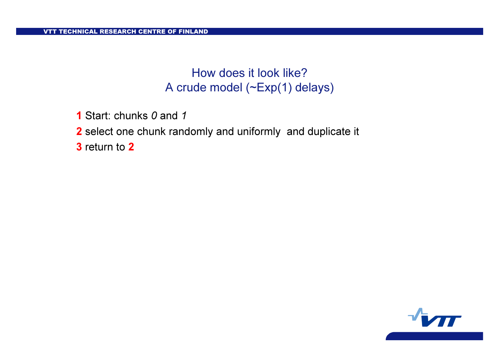# How does it look like? A crude model (~Exp(1) delays)

**1** Start: chunks 0 and 1

2 select one chunk randomly and uniformly and duplicate it

**3** return to 2

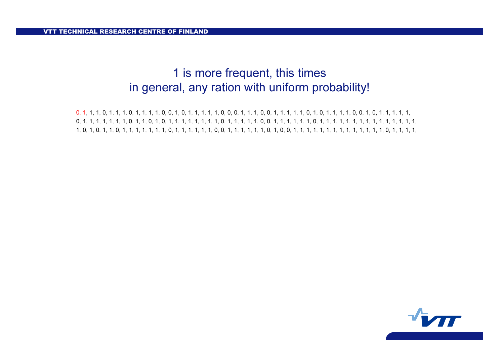### 1 is more frequent, this times in general, any ration with uniform probability!

 0, 1, 1, 1, 0, 1, 1, 1, 0, 1, 1, 1, 1, 0, 0, 1, 0, 1, 1, 1, 1, 1, 0, 0, 0, 1, 1, 1, 0, 0, 1, 1, 1, 1, 1, 0, 1, 0, 1, 1, 1, 1, 0, 0, 1, 0, 1, 1, 1, 1, 1, 0, 1, 1, 1, 1, 1, 1, 1, 0, 1, 1, 0, 1, 0, 1, 1, 1, 1, 1, 1, 1, 1, 0, 1, 1, 1, 1, 1, 0, 0, 1, 1, 1, 1, 1, 1, 0, 1, 1, 1, 1, 1, 1, 1, 1, 1, 1, 1, 1, 1, 1, 1, 1, 0, 1, 0, 1, 1, 0, 1, 1, 1, 1, 1, 1, 1, 0, 1, 1, 1, 1, 1, 1, 0, 0, 1, 1, 1, 1, 1, 1, 0, 1, 0, 0, 1, 1, 1, 1, 1, 1, 1, 1, 1, 1, 1, 1, 1, 1, 0, 1, 1, 1, 1,

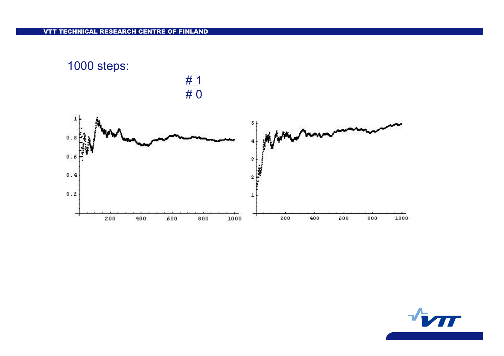

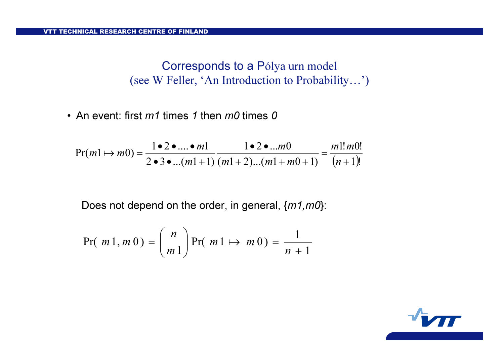Corresponds to a Pólya urn model (see W Feller, 'An Introduction to Probability…')

• An event: first  $m1$  times 1 then  $m0$  times 0

$$
Pr(m1 \mapsto m0) = \frac{1 \cdot 2 \cdot ... \cdot m1}{2 \cdot 3 \cdot ... (m1+1)} \frac{1 \cdot 2 \cdot ... m0}{(m1+2)...(m1+m0+1)} = \frac{m1! m0!}{(n+1)!}
$$

Does not depend on the order, in general,  ${m1, m0}$ :

$$
Pr(m1, m0) = {n \choose m1} Pr(m1 \mapsto m0) = \frac{1}{n+1}
$$

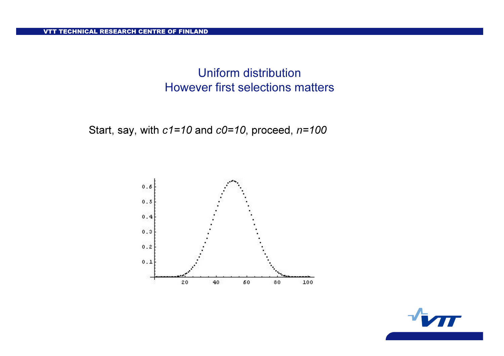VTT TECHNICAL RESEARCH CENTRE OF FINLAND

### Uniform distribution However first selections matters

Start, say, with  $c1=10$  and  $c0=10$ , proceed,  $n=100$ 



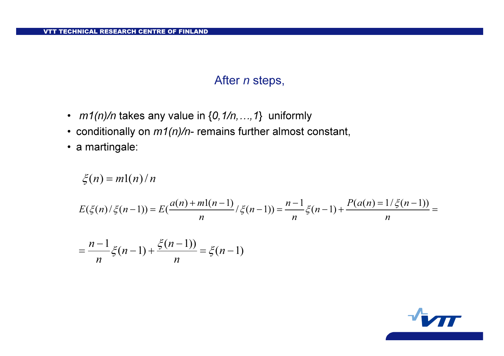### After *n* steps,

- $m1(n)/n$  takes any value in  $\{0,1/n,...,1\}$  uniformly
- conditionally on  $m$ 1(n)/n- remains further almost constant,
- a martingale:

$$
\xi(n) = m(n)/n
$$
  
 
$$
E(\xi(n)/\xi(n-1)) = E(\frac{a(n) + m(n-1)}{n})\xi(n-1) = \frac{n-1}{n}\xi(n-1) + \frac{P(a(n) = 1/\xi(n-1))}{n} =
$$

$$
= \frac{n-1}{n} \xi(n-1) + \frac{\xi(n-1)}{n} = \xi(n-1)
$$

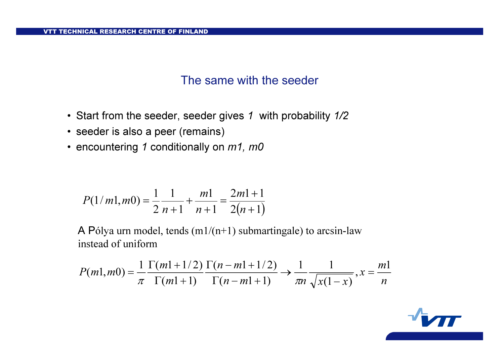### The same with the seeder

- Start from the seeder, seeder gives 1 with probability  $1\overline{/}2$
- seeder is also a peer (remains)
- encountering 1 conditionally on  $m$ 1, m0

$$
P(1/m1, m0) = \frac{1}{2} \frac{1}{n+1} + \frac{m1}{n+1} = \frac{2m1+1}{2(n+1)}
$$

A Pólya urn model, tends  $(m1/(n+1))$  submartingale) to arcsin-law instead of uniform

$$
P(m1,m0) = \frac{1}{\pi} \frac{\Gamma(m1+1/2)}{\Gamma(m1+1)} \frac{\Gamma(n-m1+1/2)}{\Gamma(n-m1+1)} \to \frac{1}{\pi n} \frac{1}{\sqrt{x(1-x)}}, x = \frac{m1}{n}
$$

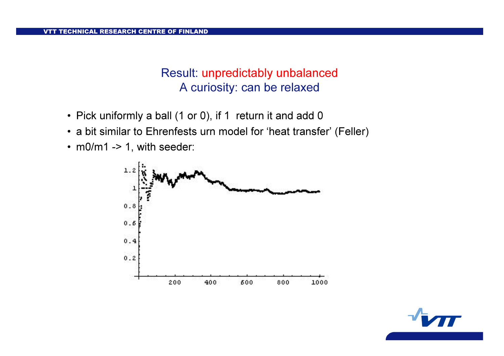### Result: unpredictably unbalanced A curiosity: can be relaxed

- Pick uniformly a ball (1 or 0), if 1 return it and add 0
- a bit similar to Ehrenfests urn model for 'heat transfer' (Feller)
- m0/m1 -> 1, with seeder:



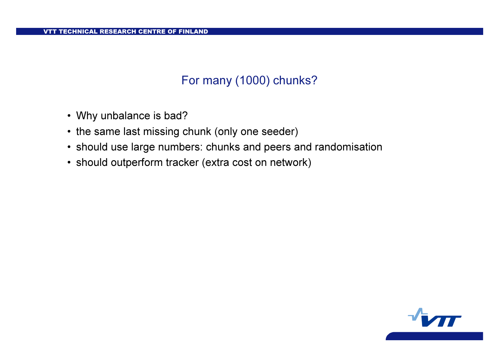## For many (1000) chunks?

- Why unbalance is bad?
- the same last missing chunk (only one seeder)
- should use large numbers: chunks and peers and randomisation
- should outperform tracker (extra cost on network)

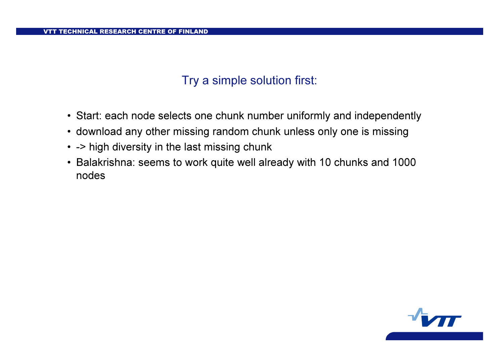### Try a simple solution first:

- Start: each node selects one chunk number uniformly and independently
- download any other missing random chunk unless only one is missing
- -> high diversity in the last missing chunk
- Balakrishna: seems to work quite well already with 10 chunks and 1000 nodes